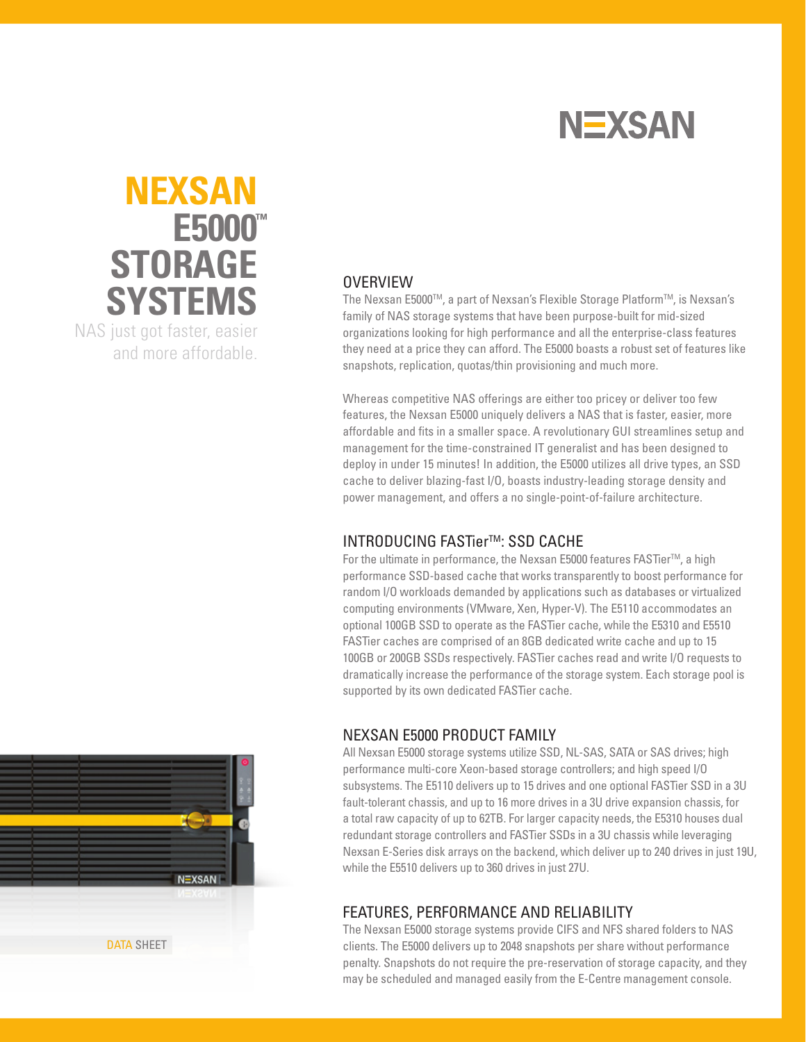

## **™ E5000 nexsan STORAGE SYSTEMS** NAS just got faster, easier and more affordable.

#### **OVERVIEW**

The Nexsan E5000™, a part of Nexsan's Flexible Storage Platform™, is Nexsan's family of NAS storage systems that have been purpose-built for mid-sized organizations looking for high performance and all the enterprise-class features they need at a price they can afford. The E5000 boasts a robust set of features like snapshots, replication, quotas/thin provisioning and much more.

Whereas competitive NAS offerings are either too pricey or deliver too few features, the Nexsan E5000 uniquely delivers a NAS that is faster, easier, more affordable and fits in a smaller space. A revolutionary GUI streamlines setup and management for the time-constrained IT generalist and has been designed to deploy in under 15 minutes! In addition, the E5000 utilizes all drive types, an SSD cache to deliver blazing-fast I/O, boasts industry-leading storage density and power management, and offers a no single-point-of-failure architecture.

#### **INTRODUCING FASTier™: SSD CACHE**

For the ultimate in performance, the Nexsan E5000 features FASTier™, a high performance SSD-based cache that works transparently to boost performance for random I/O workloads demanded by applications such as databases or virtualized computing environments (VMware, Xen, Hyper-V). The E5110 accommodates an optional 100GB SSD to operate as the FASTier cache, while the E5310 and E5510 FASTier caches are comprised of an 8GB dedicated write cache and up to 15 100GB or 200GB SSDs respectively. FASTier caches read and write I/O requests to dramatically increase the performance of the storage system. Each storage pool is supported by its own dedicated FASTier cache.

#### NEXSAN E5000 PRODUCT FAMILY

All Nexsan E5000 storage systems utilize SSD, NL-SAS, SATA or SAS drives; high performance multi-core Xeon-based storage controllers; and high speed I/O subsystems. The E5110 delivers up to 15 drives and one optional FASTier SSD in a 3U fault-tolerant chassis, and up to 16 more drives in a 3U drive expansion chassis, for a total raw capacity of up to 62TB. For larger capacity needs, the E5310 houses dual redundant storage controllers and FASTier SSDs in a 3U chassis while leveraging Nexsan E-Series disk arrays on the backend, which deliver up to 240 drives in just 19U, while the E5510 delivers up to 360 drives in just 27U.

#### FEATURES, PERFORMANCE AND RELIABILITY

The Nexsan E5000 storage systems provide CIFS and NFS shared folders to NAS clients. The E5000 delivers up to 2048 snapshots per share without performance penalty. Snapshots do not require the pre-reservation of storage capacity, and they may be scheduled and managed easily from the E-Centre management console.

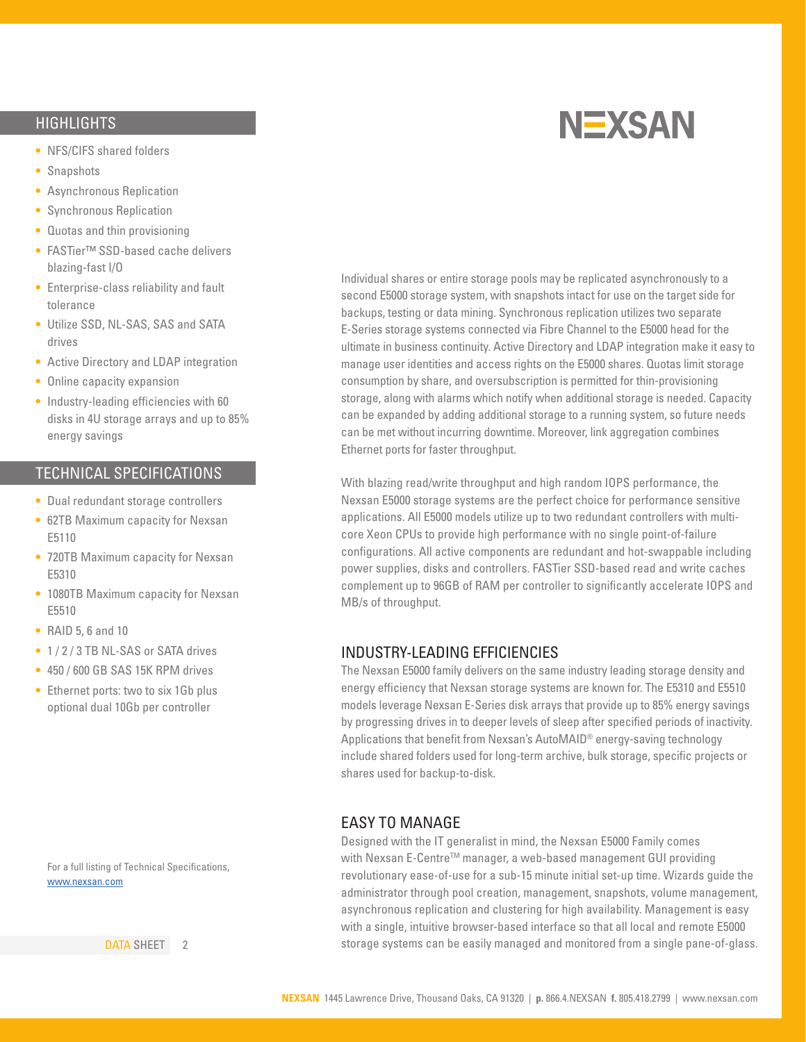#### **HIGHLIGHTS**

- **•**  NFS/CIFS shared folders
- **•**  Snapshots
- **•**  Asynchronous Replication
- **•**  Synchronous Replication
- **•**  Quotas and thin provisioning
- **•**  FASTier™ SSD-based cache delivers blazing-fast I/O
- **•**  Enterprise-class reliability and fault tolerance
- **•**  Utilize SSD, NL-SAS, SAS and SATA drives
- **•** Active Directory and LDAP integration
- **•**  Online capacity expansion
- Industry-leading efficiencies with 60 disks in 4U storage arrays and up to 85% energy savings

#### technical specifications

- **•**  Dual redundant storage controllers
- **•**  62TB Maximum capacity for Nexsan E5110
- **•**  720TB Maximum capacity for Nexsan E5310
- **•**  1080TB Maximum capacity for Nexsan E5510
- **•**  RAID 5, 6 and 10
- **•**  1 / 2 / 3 TB NL-SAS or SATA drives
- **•**  450 / 600 GB SAS 15K RPM drives
- Ethernet ports: two to six 1Gb plus optional dual 10Gb per controller

**NEXSAN** 

Individual shares or entire storage pools may be replicated asynchronously to a second E5000 storage system, with snapshots intact for use on the target side for backups, testing or data mining. Synchronous replication utilizes two separate E-Series storage systems connected via Fibre Channel to the E5000 head for the ultimate in business continuity. Active Directory and LDAP integration make it easy to manage user identities and access rights on the E5000 shares. Quotas limit storage consumption by share, and oversubscription is permitted for thin-provisioning storage, along with alarms which notify when additional storage is needed. Capacity can be expanded by adding additional storage to a running system, so future needs can be met without incurring downtime. Moreover, link aggregation combines Ethernet ports for faster throughput.

With blazing read/write throughput and high random IOPS performance, the Nexsan E5000 storage systems are the perfect choice for performance sensitive applications. All E5000 models utilize up to two redundant controllers with multicore Xeon CPUs to provide high performance with no single point-of-failure configurations. All active components are redundant and hot-swappable including power supplies, disks and controllers. FASTier SSD-based read and write caches complement up to 96GB of RAM per controller to significantly accelerate IOPS and MB/s of throughput.

#### INDUSTRY-LEADING EFFICIENCIES

The Nexsan E5000 family delivers on the same industry leading storage density and energy efficiency that Nexsan storage systems are known for. The E5310 and E5510 models leverage Nexsan E-Series disk arrays that provide up to 85% energy savings by progressing drives in to deeper levels of sleep after specified periods of inactivity. Applications that benefit from Nexsan's AutoMAID® energy-saving technology include shared folders used for long-term archive, bulk storage, specific projects or shares used for backup-to-disk.

#### EASY TO MANAGE

Designed with the IT generalist in mind, the Nexsan E5000 Family comes with Nexsan E-Centre<sup>™</sup> manager, a web-based management GUI providing revolutionary ease-of-use for a sub-15 minute initial set-up time. Wizards guide the administrator through pool creation, management, snapshots, volume management, asynchronous replication and clustering for high availability. Management is easy with a single, intuitive browser-based interface so that all local and remote E5000 storage systems can be easily managed and monitored from a single pane-of-glass.

For a full listing of Technical Specifications, www.nexsan.com

DATA SHEET 2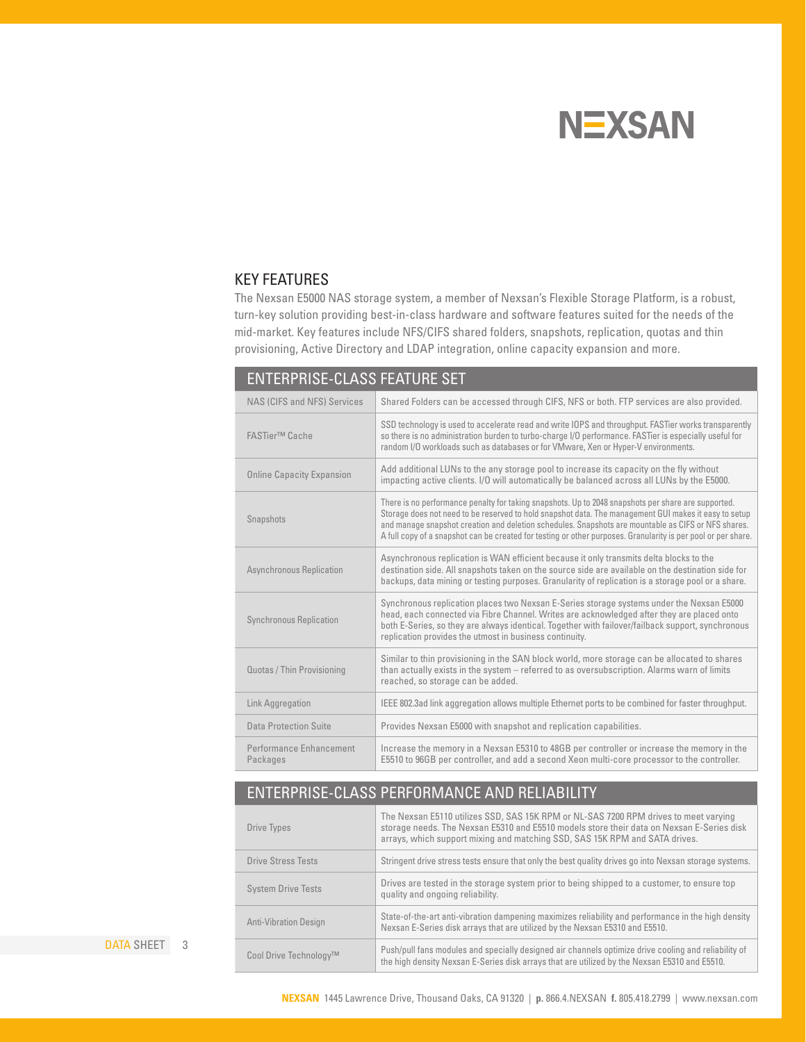# **NEXSAN**

#### KEY FEATURES

The Nexsan E5000 NAS storage system, a member of Nexsan's Flexible Storage Platform, is a robust, turn-key solution providing best-in-class hardware and software features suited for the needs of the mid-market. Key features include NFS/CIFS shared folders, snapshots, replication, quotas and thin provisioning, Active Directory and LDAP integration, online capacity expansion and more.

| <b>ENTERPRISE-CLASS FEATURE SET</b> |                                                                                                                                                                                                                                                                                                                                                                                                                                      |  |
|-------------------------------------|--------------------------------------------------------------------------------------------------------------------------------------------------------------------------------------------------------------------------------------------------------------------------------------------------------------------------------------------------------------------------------------------------------------------------------------|--|
| NAS (CIFS and NFS) Services         | Shared Folders can be accessed through CIFS, NFS or both. FTP services are also provided.                                                                                                                                                                                                                                                                                                                                            |  |
| <b>FASTier™ Cache</b>               | SSD technology is used to accelerate read and write IOPS and throughput. FASTier works transparently<br>so there is no administration burden to turbo-charge I/O performance. FASTier is especially useful for<br>random I/O workloads such as databases or for VMware, Xen or Hyper-V environments.                                                                                                                                 |  |
| <b>Online Capacity Expansion</b>    | Add additional LUNs to the any storage pool to increase its capacity on the fly without<br>impacting active clients. I/O will automatically be balanced across all LUNs by the E5000.                                                                                                                                                                                                                                                |  |
| Snapshots                           | There is no performance penalty for taking snapshots. Up to 2048 snapshots per share are supported.<br>Storage does not need to be reserved to hold snapshot data. The management GUI makes it easy to setup<br>and manage snapshot creation and deletion schedules. Snapshots are mountable as CIFS or NFS shares.<br>A full copy of a snapshot can be created for testing or other purposes. Granularity is per pool or per share. |  |
| Asynchronous Replication            | Asynchronous replication is WAN efficient because it only transmits delta blocks to the<br>destination side. All snapshots taken on the source side are available on the destination side for<br>backups, data mining or testing purposes. Granularity of replication is a storage pool or a share.                                                                                                                                  |  |
| <b>Synchronous Replication</b>      | Synchronous replication places two Nexsan E-Series storage systems under the Nexsan E5000<br>head, each connected via Fibre Channel. Writes are acknowledged after they are placed onto<br>both E-Series, so they are always identical. Together with failover/failback support, synchronous<br>replication provides the utmost in business continuity.                                                                              |  |
| Quotas / Thin Provisioning          | Similar to thin provisioning in the SAN block world, more storage can be allocated to shares<br>than actually exists in the system - referred to as oversubscription. Alarms warn of limits<br>reached, so storage can be added.                                                                                                                                                                                                     |  |
| Link Aggregation                    | IEEE 802.3ad link aggregation allows multiple Ethernet ports to be combined for faster throughput.                                                                                                                                                                                                                                                                                                                                   |  |
| Data Protection Suite               | Provides Nexsan E5000 with snapshot and replication capabilities.                                                                                                                                                                                                                                                                                                                                                                    |  |
| Performance Enhancement<br>Packages | Increase the memory in a Nexsan E5310 to 48GB per controller or increase the memory in the<br>E5510 to 96GB per controller, and add a second Xeon multi-core processor to the controller.                                                                                                                                                                                                                                            |  |

## ENTERPRISE-CLASS PERFORMANCE AND RELIABILITY

| Drive Types                  | The Nexsan E5110 utilizes SSD, SAS 15K RPM or NL-SAS 7200 RPM drives to meet varying<br>storage needs. The Nexsan E5310 and E5510 models store their data on Nexsan E-Series disk<br>arrays, which support mixing and matching SSD, SAS 15K RPM and SATA drives. |
|------------------------------|------------------------------------------------------------------------------------------------------------------------------------------------------------------------------------------------------------------------------------------------------------------|
| <b>Drive Stress Tests</b>    | Stringent drive stress tests ensure that only the best quality drives go into Nexsan storage systems.                                                                                                                                                            |
| <b>System Drive Tests</b>    | Drives are tested in the storage system prior to being shipped to a customer, to ensure top<br>quality and ongoing reliability.                                                                                                                                  |
| <b>Anti-Vibration Design</b> | State-of-the-art anti-vibration dampening maximizes reliability and performance in the high density<br>Nexsan E-Series disk arrays that are utilized by the Nexsan E5310 and E5510.                                                                              |
| Cool Drive Technology™       | Push/pull fans modules and specially designed air channels optimize drive cooling and reliability of<br>the high density Nexsan E-Series disk arrays that are utilized by the Nexsan E5310 and E5510.                                                            |

DATA SHEET 3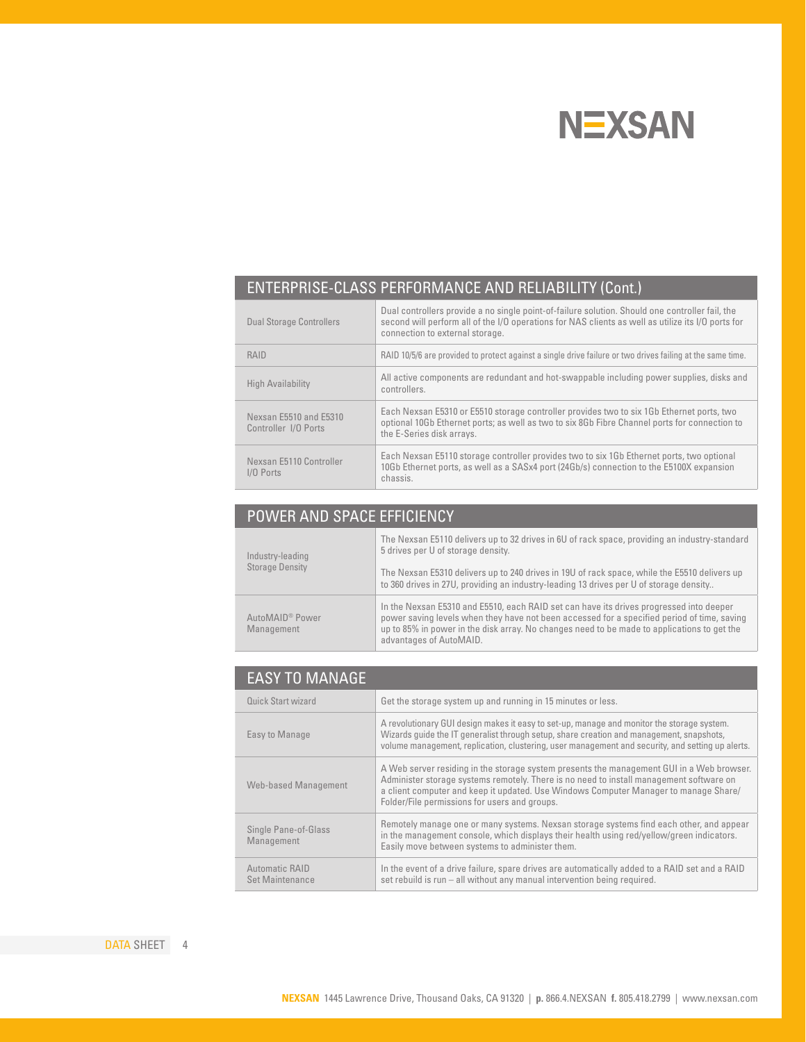

## ENTERPRISE-CLASS PERFORMANCE AND RELIABILITY (Cont.)

| <b>Dual Storage Controllers</b>                | Dual controllers provide a no single point-of-failure solution. Should one controller fail, the<br>second will perform all of the I/O operations for NAS clients as well as utilize its I/O ports for<br>connection to external storage. |
|------------------------------------------------|------------------------------------------------------------------------------------------------------------------------------------------------------------------------------------------------------------------------------------------|
| RAID                                           | RAID 10/5/6 are provided to protect against a single drive failure or two drives failing at the same time.                                                                                                                               |
| High Availability                              | All active components are redundant and hot-swappable including power supplies, disks and<br>controllers.                                                                                                                                |
| Nexsan E5510 and E5310<br>Controller I/O Ports | Each Nexsan E5310 or E5510 storage controller provides two to six 1Gb Ethernet ports, two<br>optional 10Gb Ethernet ports; as well as two to six 8Gb Fibre Channel ports for connection to<br>the E-Series disk arrays.                  |
| Nexsan E5110 Controller<br>$1/0$ Ports         | Each Nexsan E5110 storage controller provides two to six 1Gb Ethernet ports, two optional<br>10Gb Ethernet ports, as well as a SASx4 port (24Gb/s) connection to the E5100X expansion<br>chassis.                                        |

## POWER AND SPACE EFFICIENCY

| Industry-leading<br><b>Storage Density</b> | The Nexsan E5110 delivers up to 32 drives in 6U of rack space, providing an industry-standard<br>5 drives per U of storage density.<br>The Nexsan E5310 delivers up to 240 drives in 19U of rack space, while the E5510 delivers up<br>to 360 drives in 27U, providing an industry-leading 13 drives per U of storage density |
|--------------------------------------------|-------------------------------------------------------------------------------------------------------------------------------------------------------------------------------------------------------------------------------------------------------------------------------------------------------------------------------|
| AutoMAID <sup>®</sup> Power<br>Management  | In the Nexsan E5310 and E5510, each RAID set can have its drives progressed into deeper<br>power saving levels when they have not been accessed for a specified period of time, saving<br>up to 85% in power in the disk array. No changes need to be made to applications to get the<br>advantages of AutoMAID.              |

| <b>EASY TO MANAGE</b>                    |                                                                                                                                                                                                                                                                                                                               |
|------------------------------------------|-------------------------------------------------------------------------------------------------------------------------------------------------------------------------------------------------------------------------------------------------------------------------------------------------------------------------------|
| Quick Start wizard                       | Get the storage system up and running in 15 minutes or less.                                                                                                                                                                                                                                                                  |
| Easy to Manage                           | A revolutionary GUI design makes it easy to set-up, manage and monitor the storage system.<br>Wizards quide the IT generalist through setup, share creation and management, snapshots,<br>volume management, replication, clustering, user management and security, and setting up alerts.                                    |
| Web-based Management                     | A Web server residing in the storage system presents the management GUI in a Web browser.<br>Administer storage systems remotely. There is no need to install management software on<br>a client computer and keep it updated. Use Windows Computer Manager to manage Share/<br>Folder/File permissions for users and groups. |
| Single Pane-of-Glass<br>Management       | Remotely manage one or many systems. Nexsan storage systems find each other, and appear<br>in the management console, which displays their health using red/yellow/green indicators.<br>Easily move between systems to administer them.                                                                                       |
| Automatic RAID<br><b>Set Maintenance</b> | In the event of a drive failure, spare drives are automatically added to a RAID set and a RAID<br>set rebuild is run - all without any manual intervention being required.                                                                                                                                                    |